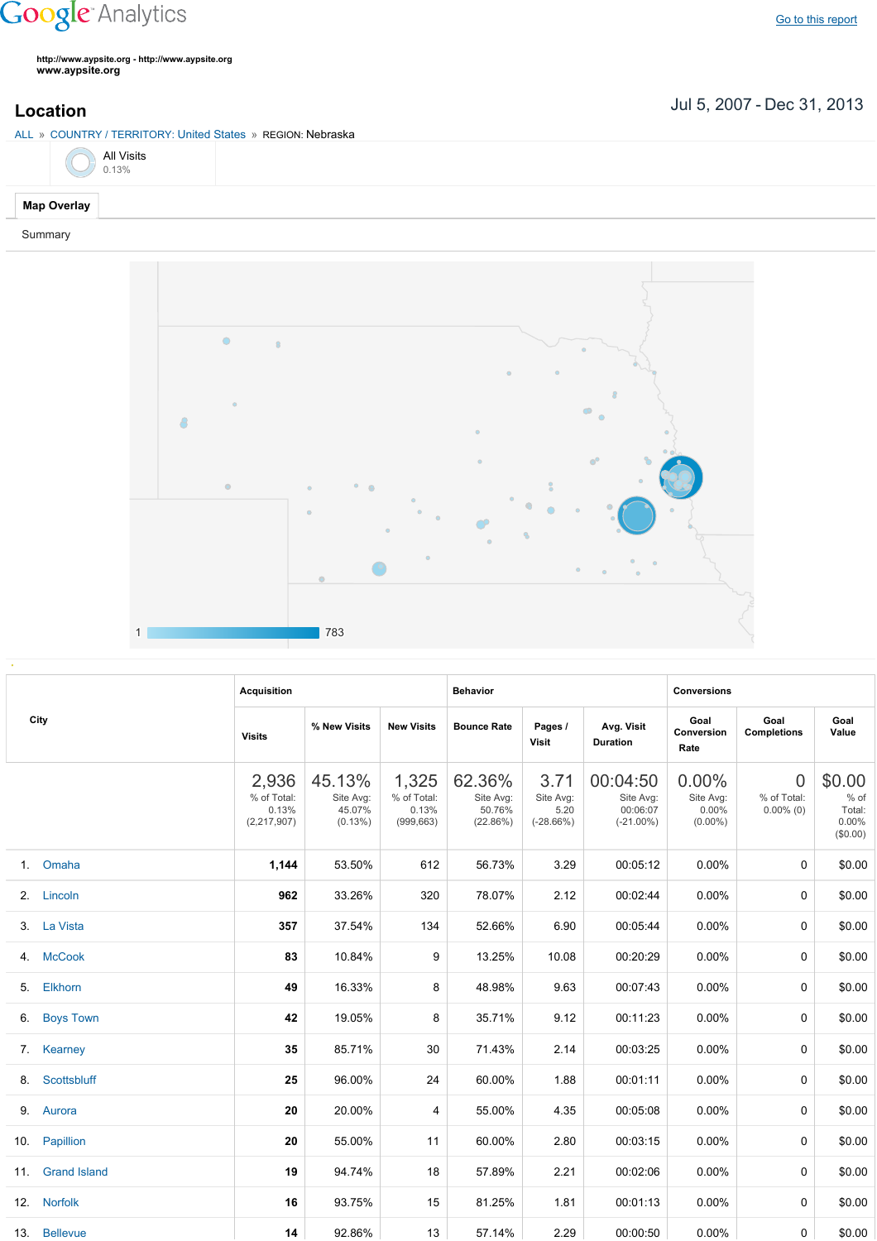# **Google** Analytics

**http://www.aypsite.org http://www.aypsite.org www.aypsite.org**

## Jul 5, 2007 Dec 31, 2013 **Location**

### ALL » COUNTRY / TERRITORY: United States » REGION: Nebraska



### **Map Overlay**

#### Summary



|     | City                | <b>Acquisition</b>                             |                                             |                                             | <b>Behavior</b>                           |                                          |                                                   | <b>Conversions</b>                              |                                               |                                                    |
|-----|---------------------|------------------------------------------------|---------------------------------------------|---------------------------------------------|-------------------------------------------|------------------------------------------|---------------------------------------------------|-------------------------------------------------|-----------------------------------------------|----------------------------------------------------|
|     |                     | <b>Visits</b>                                  | % New Visits                                | <b>New Visits</b>                           | <b>Bounce Rate</b>                        | Pages /<br>Visit                         | Avg. Visit<br><b>Duration</b>                     | Goal<br>Conversion<br>Rate                      | Goal<br><b>Completions</b>                    | Goal<br>Value                                      |
|     |                     | 2,936<br>% of Total:<br>0.13%<br>(2, 217, 907) | 45.13%<br>Site Avg:<br>45.07%<br>$(0.13\%)$ | 1,325<br>% of Total:<br>0.13%<br>(999, 663) | 62.36%<br>Site Avg:<br>50.76%<br>(22.86%) | 3.71<br>Site Avg:<br>5.20<br>$(-28.66%)$ | 00:04:50<br>Site Avg:<br>00:06:07<br>$(-21.00\%)$ | $0.00\%$<br>Site Avg:<br>$0.00\%$<br>$(0.00\%)$ | $\overline{0}$<br>% of Total:<br>$0.00\%$ (0) | \$0.00<br>$%$ of<br>Total:<br>$0.00\%$<br>(\$0.00) |
|     | 1. Omaha            | 1,144                                          | 53.50%                                      | 612                                         | 56.73%                                    | 3.29                                     | 00:05:12                                          | 0.00%                                           | $\Omega$                                      | \$0.00                                             |
|     | 2. Lincoln          | 962                                            | 33.26%                                      | 320                                         | 78.07%                                    | 2.12                                     | 00:02:44                                          | 0.00%                                           | $\Omega$                                      | \$0.00                                             |
|     | 3. La Vista         | 357                                            | 37.54%                                      | 134                                         | 52.66%                                    | 6.90                                     | 00:05:44                                          | $0.00\%$                                        | $\Omega$                                      | \$0.00                                             |
|     | 4. McCook           | 83                                             | 10.84%                                      | 9                                           | 13.25%                                    | 10.08                                    | 00:20:29                                          | 0.00%                                           | 0                                             | \$0.00                                             |
| 5.  | Elkhorn             | 49                                             | 16.33%                                      | 8                                           | 48.98%                                    | 9.63                                     | 00:07:43                                          | 0.00%                                           | 0                                             | \$0.00                                             |
| 6.  | <b>Boys Town</b>    | 42                                             | 19.05%                                      | 8                                           | 35.71%                                    | 9.12                                     | 00:11:23                                          | 0.00%                                           | $\Omega$                                      | \$0.00                                             |
|     | 7. Kearney          | 35                                             | 85.71%                                      | 30                                          | 71.43%                                    | 2.14                                     | 00:03:25                                          | $0.00\%$                                        | $\Omega$                                      | \$0.00                                             |
| 8.  | Scottsbluff         | 25                                             | 96.00%                                      | 24                                          | 60.00%                                    | 1.88                                     | 00:01:11                                          | $0.00\%$                                        | $\Omega$                                      | \$0.00                                             |
|     | 9. Aurora           | 20                                             | 20.00%                                      | 4                                           | 55.00%                                    | 4.35                                     | 00:05:08                                          | $0.00\%$                                        | 0                                             | \$0.00                                             |
|     | 10. Papillion       | 20                                             | 55.00%                                      | 11                                          | 60.00%                                    | 2.80                                     | 00:03:15                                          | 0.00%                                           | $\Omega$                                      | \$0.00                                             |
| 11. | <b>Grand Island</b> | 19                                             | 94.74%                                      | 18                                          | 57.89%                                    | 2.21                                     | 00:02:06                                          | $0.00\%$                                        | $\Omega$                                      | \$0.00                                             |
|     | 12. Norfolk         | 16                                             | 93.75%                                      | 15                                          | 81.25%                                    | 1.81                                     | 00:01:13                                          | $0.00\%$                                        | $\Omega$                                      | \$0.00                                             |
|     | 13. Bellevue        | 14                                             | 92.86%                                      | 13                                          | 57.14%                                    | 2.29                                     | 00:00:50                                          | $0.00\%$                                        | 0                                             | \$0.00                                             |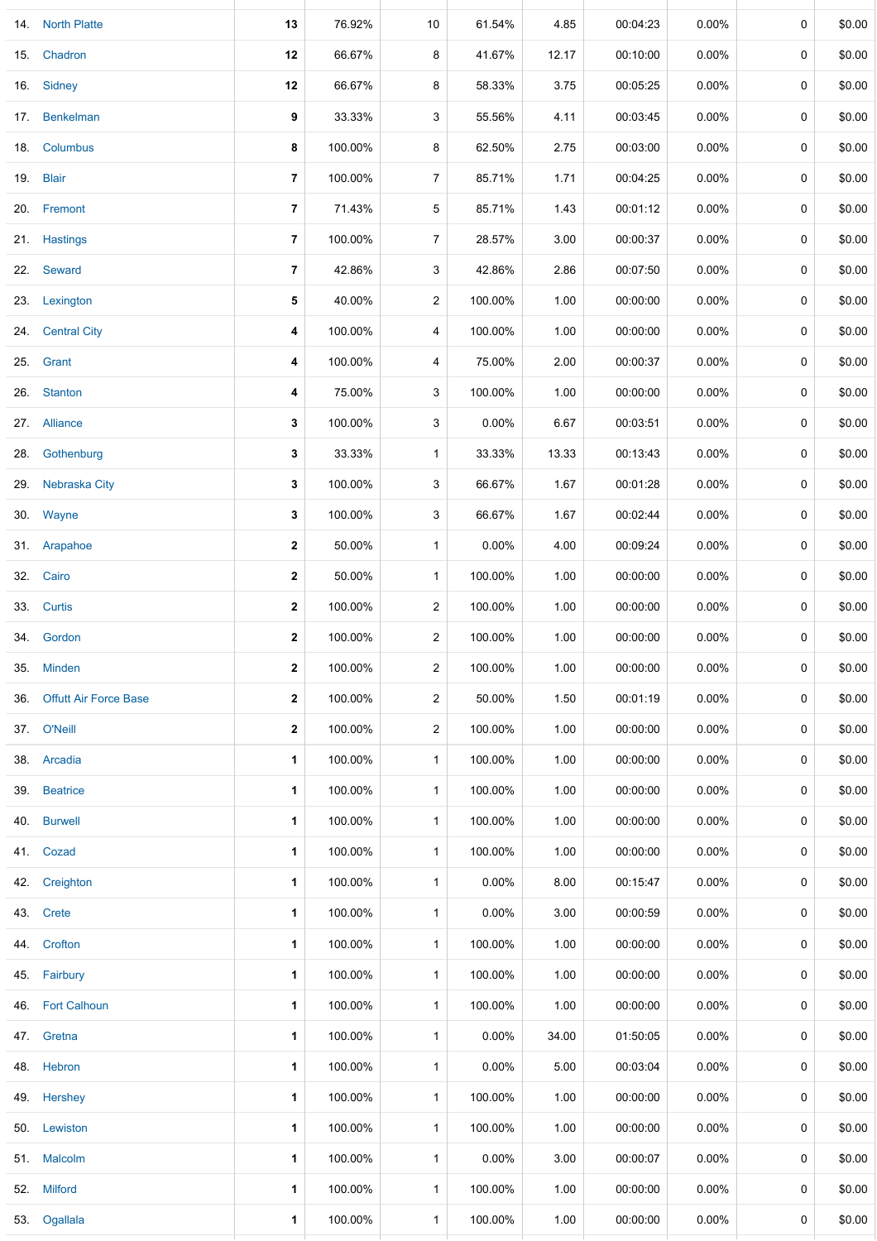|     | 14. North Platte             | 13               | 76.92%  | 10             | 61.54%   | 4.85  | 00:04:23 | 0.00%    | 0           | \$0.00 |
|-----|------------------------------|------------------|---------|----------------|----------|-------|----------|----------|-------------|--------|
|     | 15. Chadron                  | 12               | 66.67%  | 8              | 41.67%   | 12.17 | 00:10:00 | 0.00%    | 0           | \$0.00 |
|     | 16. Sidney                   | 12               | 66.67%  | 8              | 58.33%   | 3.75  | 00:05:25 | $0.00\%$ | 0           | \$0.00 |
|     | 17. Benkelman                | 9                | 33.33%  | 3              | 55.56%   | 4.11  | 00:03:45 | $0.00\%$ | 0           | \$0.00 |
|     | 18. Columbus                 | 8                | 100.00% | 8              | 62.50%   | 2.75  | 00:03:00 | $0.00\%$ | 0           | \$0.00 |
|     | 19. Blair                    | $\overline{7}$   | 100.00% | $\overline{7}$ | 85.71%   | 1.71  | 00:04:25 | $0.00\%$ | 0           | \$0.00 |
|     | 20. Fremont                  | 7                | 71.43%  | 5              | 85.71%   | 1.43  | 00:01:12 | $0.00\%$ | 0           | \$0.00 |
|     | 21. Hastings                 | $\overline{7}$   | 100.00% | $\overline{7}$ | 28.57%   | 3.00  | 00:00:37 | $0.00\%$ | 0           | \$0.00 |
|     | 22. Seward                   | 7                | 42.86%  | 3              | 42.86%   | 2.86  | 00:07:50 | 0.00%    | 0           | \$0.00 |
|     | 23. Lexington                | 5                | 40.00%  | 2              | 100.00%  | 1.00  | 00:00:00 | $0.00\%$ | 0           | \$0.00 |
|     | 24. Central City             | 4                | 100.00% | 4              | 100.00%  | 1.00  | 00:00:00 | 0.00%    | 0           | \$0.00 |
| 25. | Grant                        | 4                | 100.00% | 4              | 75.00%   | 2.00  | 00:00:37 | 0.00%    | 0           | \$0.00 |
|     | 26. Stanton                  | 4                | 75.00%  | 3              | 100.00%  | 1.00  | 00:00:00 | $0.00\%$ | 0           | \$0.00 |
|     | 27. Alliance                 | 3                | 100.00% | 3              | $0.00\%$ | 6.67  | 00:03:51 | 0.00%    | 0           | \$0.00 |
| 28. | Gothenburg                   | 3                | 33.33%  | $\mathbf{1}$   | 33.33%   | 13.33 | 00:13:43 | 0.00%    | 0           | \$0.00 |
| 29. | Nebraska City                | 3                | 100.00% | 3              | 66.67%   | 1.67  | 00:01:28 | $0.00\%$ | 0           | \$0.00 |
|     | 30. Wayne                    | 3                | 100.00% | 3              | 66.67%   | 1.67  | 00:02:44 | 0.00%    | 0           | \$0.00 |
|     | 31. Arapahoe                 | 2                | 50.00%  | $\mathbf{1}$   | 0.00%    | 4.00  | 00:09:24 | $0.00\%$ | 0           | \$0.00 |
|     | 32. Cairo                    | $\mathbf{2}$     | 50.00%  | $\mathbf 1$    | 100.00%  | 1.00  | 00:00:00 | $0.00\%$ | 0           | \$0.00 |
|     | 33. Curtis                   | $\boldsymbol{2}$ | 100.00% | 2              | 100.00%  | 1.00  | 00:00:00 | $0.00\%$ | 0           | \$0.00 |
|     | 34. Gordon                   | $\boldsymbol{2}$ | 100.00% | $\overline{2}$ | 100.00%  | 1.00  | 00:00:00 | $0.00\%$ | 0           | \$0.00 |
|     | 35. Minden                   | $\mathbf{2}$     | 100.00% | $\overline{2}$ | 100.00%  | 1.00  | 00:00:00 | $0.00\%$ | 0           | \$0.00 |
| 36. | <b>Offutt Air Force Base</b> | $\mathbf{2}$     | 100.00% | $\overline{2}$ | 50.00%   | 1.50  | 00:01:19 | $0.00\%$ | 0           | \$0.00 |
|     | 37. O'Neill                  | $\mathbf{2}$     | 100.00% | $\overline{c}$ | 100.00%  | 1.00  | 00:00:00 | $0.00\%$ | 0           | \$0.00 |
|     | 38. Arcadia                  | 1                | 100.00% | $\mathbf{1}$   | 100.00%  | 1.00  | 00:00:00 | $0.00\%$ | 0           | \$0.00 |
| 39. | <b>Beatrice</b>              | 1                | 100.00% | $\mathbf 1$    | 100.00%  | 1.00  | 00:00:00 | 0.00%    | 0           | \$0.00 |
| 40. | <b>Burwell</b>               | 1                | 100.00% | $\mathbf{1}$   | 100.00%  | 1.00  | 00:00:00 | 0.00%    | 0           | \$0.00 |
|     | 41. Cozad                    | 1                | 100.00% | $\mathbf{1}$   | 100.00%  | 1.00  | 00:00:00 | $0.00\%$ | 0           | \$0.00 |
| 42. | Creighton                    | 1                | 100.00% | $\mathbf{1}$   | 0.00%    | 8.00  | 00:15:47 | 0.00%    | 0           | \$0.00 |
|     | 43. Crete                    | 1                | 100.00% | $\mathbf{1}$   | $0.00\%$ | 3.00  | 00:00:59 | 0.00%    | 0           | \$0.00 |
|     | 44. Crofton                  | 1                | 100.00% | $\mathbf{1}$   | 100.00%  | 1.00  | 00:00:00 | $0.00\%$ | 0           | \$0.00 |
| 45. | Fairbury                     | 1                | 100.00% | $\mathbf{1}$   | 100.00%  | 1.00  | 00:00:00 | $0.00\%$ | 0           | \$0.00 |
| 46. | <b>Fort Calhoun</b>          | 1                | 100.00% | $\mathbf{1}$   | 100.00%  | 1.00  | 00:00:00 | $0.00\%$ | 0           | \$0.00 |
|     | 47. Gretna                   | 1                | 100.00% | $\mathbf{1}$   | 0.00%    | 34.00 | 01:50:05 | $0.00\%$ | 0           | \$0.00 |
|     | 48. Hebron                   | 1                | 100.00% | $\mathbf{1}$   | 0.00%    | 5.00  | 00:03:04 | $0.00\%$ | 0           | \$0.00 |
| 49. | Hershey                      | 1                | 100.00% | $\mathbf{1}$   | 100.00%  | 1.00  | 00:00:00 | $0.00\%$ | 0           | \$0.00 |
|     | 50. Lewiston                 | 1                | 100.00% | $\mathbf{1}$   | 100.00%  | 1.00  | 00:00:00 | $0.00\%$ | $\mathbf 0$ | \$0.00 |
|     | 51. Malcolm                  | 1                | 100.00% | $\mathbf{1}$   | $0.00\%$ | 3.00  | 00:00:07 | $0.00\%$ | 0           | \$0.00 |
|     | 52. Milford                  | 1                | 100.00% | $\mathbf{1}$   | 100.00%  | 1.00  | 00:00:00 | $0.00\%$ | 0           | \$0.00 |
|     | 53. Ogallala                 | 1                | 100.00% | $\mathbf{1}$   | 100.00%  | 1.00  | 00:00:00 | 0.00%    | 0           | \$0.00 |